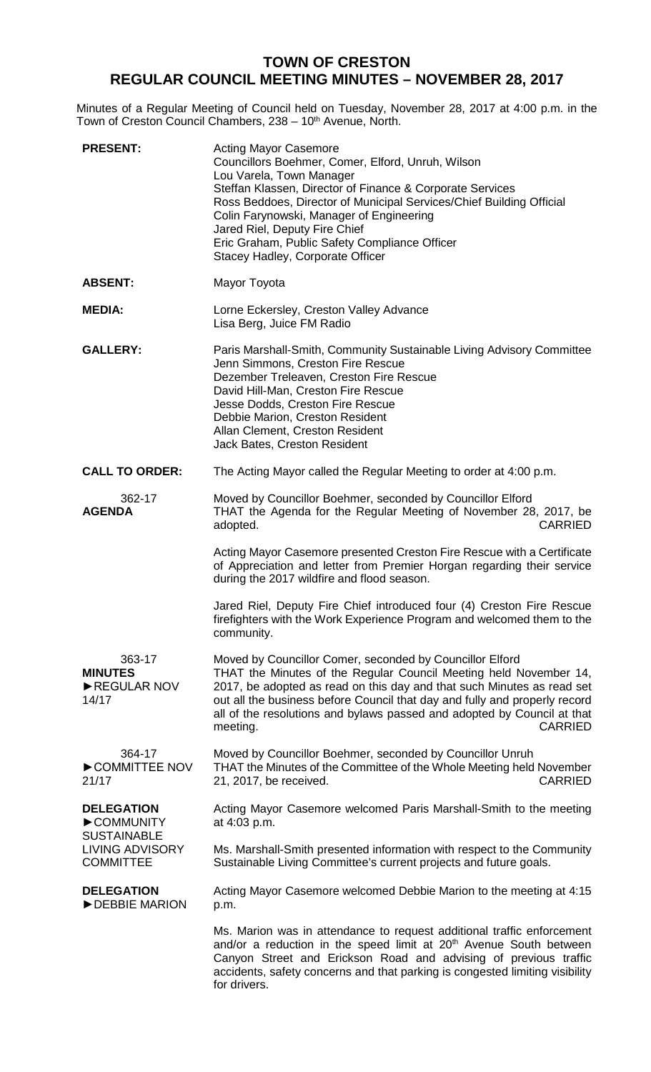# **TOWN OF CRESTON REGULAR COUNCIL MEETING MINUTES – NOVEMBER 28, 2017**

Minutes of a Regular Meeting of Council held on Tuesday, November 28, 2017 at 4:00 p.m. in the Town of Creston Council Chambers, 238 – 10<sup>th</sup> Avenue, North.

| <b>PRESENT:</b>                                                                                    | <b>Acting Mayor Casemore</b><br>Councillors Boehmer, Comer, Elford, Unruh, Wilson<br>Lou Varela, Town Manager<br>Steffan Klassen, Director of Finance & Corporate Services<br>Ross Beddoes, Director of Municipal Services/Chief Building Official<br>Colin Farynowski, Manager of Engineering<br>Jared Riel, Deputy Fire Chief<br>Eric Graham, Public Safety Compliance Officer<br>Stacey Hadley, Corporate Officer |
|----------------------------------------------------------------------------------------------------|----------------------------------------------------------------------------------------------------------------------------------------------------------------------------------------------------------------------------------------------------------------------------------------------------------------------------------------------------------------------------------------------------------------------|
| <b>ABSENT:</b>                                                                                     | Mayor Toyota                                                                                                                                                                                                                                                                                                                                                                                                         |
| <b>MEDIA:</b>                                                                                      | Lorne Eckersley, Creston Valley Advance<br>Lisa Berg, Juice FM Radio                                                                                                                                                                                                                                                                                                                                                 |
| <b>GALLERY:</b>                                                                                    | Paris Marshall-Smith, Community Sustainable Living Advisory Committee<br>Jenn Simmons, Creston Fire Rescue<br>Dezember Treleaven, Creston Fire Rescue<br>David Hill-Man, Creston Fire Rescue<br>Jesse Dodds, Creston Fire Rescue<br>Debbie Marion, Creston Resident<br>Allan Clement, Creston Resident<br>Jack Bates, Creston Resident                                                                               |
| <b>CALL TO ORDER:</b>                                                                              | The Acting Mayor called the Regular Meeting to order at 4:00 p.m.                                                                                                                                                                                                                                                                                                                                                    |
| 362-17<br><b>AGENDA</b>                                                                            | Moved by Councillor Boehmer, seconded by Councillor Elford<br>THAT the Agenda for the Regular Meeting of November 28, 2017, be<br><b>CARRIED</b><br>adopted.                                                                                                                                                                                                                                                         |
|                                                                                                    | Acting Mayor Casemore presented Creston Fire Rescue with a Certificate<br>of Appreciation and letter from Premier Horgan regarding their service<br>during the 2017 wildfire and flood season.                                                                                                                                                                                                                       |
|                                                                                                    | Jared Riel, Deputy Fire Chief introduced four (4) Creston Fire Rescue<br>firefighters with the Work Experience Program and welcomed them to the<br>community.                                                                                                                                                                                                                                                        |
| 363-17<br><b>MINUTES</b><br>REGULAR NOV<br>14/17                                                   | Moved by Councillor Comer, seconded by Councillor Elford<br>THAT the Minutes of the Regular Council Meeting held November 14,<br>2017, be adopted as read on this day and that such Minutes as read set<br>out all the business before Council that day and fully and properly record<br>all of the resolutions and bylaws passed and adopted by Council at that<br><b>CARRIED</b><br>meeting.                       |
| 364-17<br>COMMITTEE NOV<br>21/17                                                                   | Moved by Councillor Boehmer, seconded by Councillor Unruh<br>THAT the Minutes of the Committee of the Whole Meeting held November<br><b>CARRIED</b><br>21, 2017, be received.                                                                                                                                                                                                                                        |
| <b>DELEGATION</b><br>COMMUNITY<br><b>SUSTAINABLE</b><br><b>LIVING ADVISORY</b><br><b>COMMITTEE</b> | Acting Mayor Casemore welcomed Paris Marshall-Smith to the meeting<br>at 4:03 p.m.                                                                                                                                                                                                                                                                                                                                   |
|                                                                                                    | Ms. Marshall-Smith presented information with respect to the Community<br>Sustainable Living Committee's current projects and future goals.                                                                                                                                                                                                                                                                          |
| <b>DELEGATION</b><br>DEBBIE MARION                                                                 | Acting Mayor Casemore welcomed Debbie Marion to the meeting at 4:15<br>p.m.                                                                                                                                                                                                                                                                                                                                          |
|                                                                                                    | Ms. Marion was in attendance to request additional traffic enforcement<br>and/or a reduction in the speed limit at 20 <sup>th</sup> Avenue South between<br>Canyon Street and Erickson Road and advising of previous traffic<br>accidents, safety concerns and that parking is congested limiting visibility<br>for drivers.                                                                                         |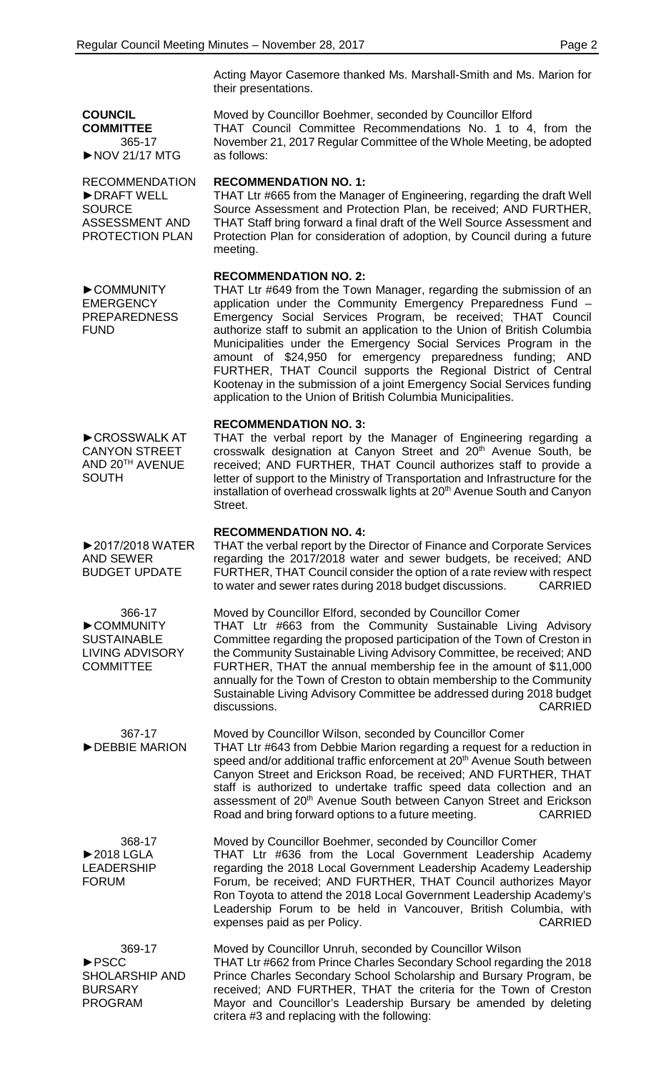Acting Mayor Casemore thanked Ms. Marshall-Smith and Ms. Marion for their presentations.

Moved by Councillor Boehmer, seconded by Councillor Elford THAT Council Committee Recommendations No. 1 to 4, from the November 21, 2017 Regular Committee of the Whole Meeting, be adopted as follows:

## **RECOMMENDATION NO. 1:**

THAT Ltr #665 from the Manager of Engineering, regarding the draft Well Source Assessment and Protection Plan, be received; AND FURTHER, THAT Staff bring forward a final draft of the Well Source Assessment and Protection Plan for consideration of adoption, by Council during a future meeting.

#### **RECOMMENDATION NO. 2:**

THAT Ltr #649 from the Town Manager, regarding the submission of an application under the Community Emergency Preparedness Fund – Emergency Social Services Program, be received; THAT Council authorize staff to submit an application to the Union of British Columbia Municipalities under the Emergency Social Services Program in the amount of \$24,950 for emergency preparedness funding; AND FURTHER, THAT Council supports the Regional District of Central Kootenay in the submission of a joint Emergency Social Services funding application to the Union of British Columbia Municipalities.

### **RECOMMENDATION NO. 3:**

THAT the verbal report by the Manager of Engineering regarding a crosswalk designation at Canyon Street and 20<sup>th</sup> Avenue South, be received; AND FURTHER, THAT Council authorizes staff to provide a letter of support to the Ministry of Transportation and Infrastructure for the installation of overhead crosswalk lights at 20<sup>th</sup> Avenue South and Canyon Street.

#### **RECOMMENDATION NO. 4:**

THAT the verbal report by the Director of Finance and Corporate Services regarding the 2017/2018 water and sewer budgets, be received; AND FURTHER, THAT Council consider the option of a rate review with respect to water and sewer rates during 2018 budget discussions. CARRIED

Moved by Councillor Elford, seconded by Councillor Comer THAT Ltr #663 from the Community Sustainable Living Advisory Committee regarding the proposed participation of the Town of Creston in the Community Sustainable Living Advisory Committee, be received; AND FURTHER, THAT the annual membership fee in the amount of \$11,000 annually for the Town of Creston to obtain membership to the Community Sustainable Living Advisory Committee be addressed during 2018 budget discussions. CARRIED

Moved by Councillor Wilson, seconded by Councillor Comer THAT Ltr #643 from Debbie Marion regarding a request for a reduction in speed and/or additional traffic enforcement at 20<sup>th</sup> Avenue South between Canyon Street and Erickson Road, be received; AND FURTHER, THAT staff is authorized to undertake traffic speed data collection and an assessment of 20<sup>th</sup> Avenue South between Canyon Street and Erickson<br>Road and bring forward options to a future meeting. CARRIED Road and bring forward options to a future meeting.

> Moved by Councillor Boehmer, seconded by Councillor Comer THAT Ltr #636 from the Local Government Leadership Academy regarding the 2018 Local Government Leadership Academy Leadership Forum, be received; AND FURTHER, THAT Council authorizes Mayor Ron Toyota to attend the 2018 Local Government Leadership Academy's Leadership Forum to be held in Vancouver, British Columbia, with expenses paid as per Policy. The state of the CARRIED CARRIED

Moved by Councillor Unruh, seconded by Councillor Wilson THAT Ltr #662 from Prince Charles Secondary School regarding the 2018 Prince Charles Secondary School Scholarship and Bursary Program, be received; AND FURTHER, THAT the criteria for the Town of Creston Mayor and Councillor's Leadership Bursary be amended by deleting critera #3 and replacing with the following:

►COMMUNITY **EMERGENCY** PREPAREDNESS FUND

**COUNCIL COMMITTEE**

**SOURCE** 

365-17 ►NOV 21/17 MTG

RECOMMENDATION ►DRAFT WELL

ASSESSMENT AND PROTECTION PLAN

►CROSSWALK AT CANYON STREET AND 20TH AVENUE **SOUTH** 

►2017/2018 WATER AND SEWER BUDGET UPDATE

366-17 ►COMMUNITY **SUSTAINABLE** LIVING ADVISORY **COMMITTEE** 

367-17 ►DEBBIE MARION

368-17 ►2018 LGLA LEADERSHIP FORUM

369-17 ►PSCC SHOLARSHIP AND BURSARY PROGRAM